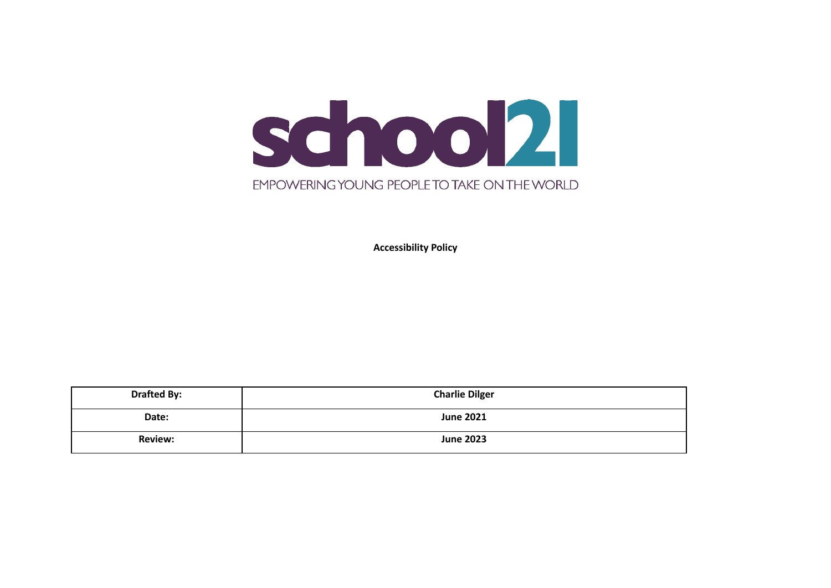

**Accessibility Policy**

| <b>Drafted By:</b> | <b>Charlie Dilger</b> |
|--------------------|-----------------------|
| Date:              | <b>June 2021</b>      |
| <b>Review:</b>     | <b>June 2023</b>      |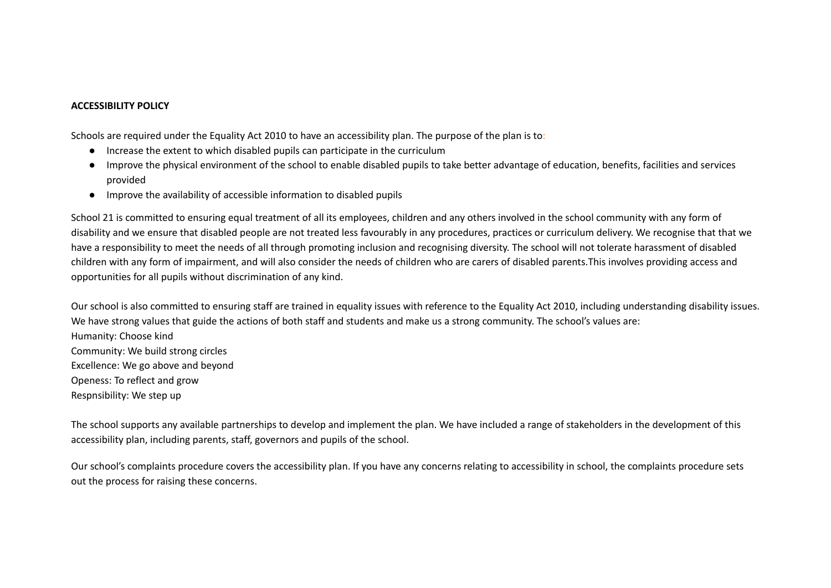#### **ACCESSIBILITY POLICY**

Schools are required under the Equality Act 2010 to have an accessibility plan. The purpose of the plan is to:

- Increase the extent to which disabled pupils can participate in the curriculum
- Improve the physical environment of the school to enable disabled pupils to take better advantage of education, benefits, facilities and services provided
- Improve the availability of accessible information to disabled pupils

School 21 is committed to ensuring equal treatment of all its employees, children and any others involved in the school community with any form of disability and we ensure that disabled people are not treated less favourably in any procedures, practices or curriculum delivery. We recognise that that we have a responsibility to meet the needs of all through promoting inclusion and recognising diversity. The school will not tolerate harassment of disabled children with any form of impairment, and will also consider the needs of children who are carers of disabled parents.This involves providing access and opportunities for all pupils without discrimination of any kind.

Our school is also committed to ensuring staff are trained in equality issues with reference to the Equality Act 2010, including understanding disability issues. We have strong values that guide the actions of both staff and students and make us a strong community. The school's values are: Humanity: Choose kind Community: We build strong circles Excellence: We go above and beyond Openess: To reflect and grow Respnsibility: We step up

The school supports any available partnerships to develop and implement the plan. We have included a range of stakeholders in the development of this accessibility plan, including parents, staff, governors and pupils of the school.

Our school's complaints procedure covers the accessibility plan. If you have any concerns relating to accessibility in school, the complaints procedure sets out the process for raising these concerns.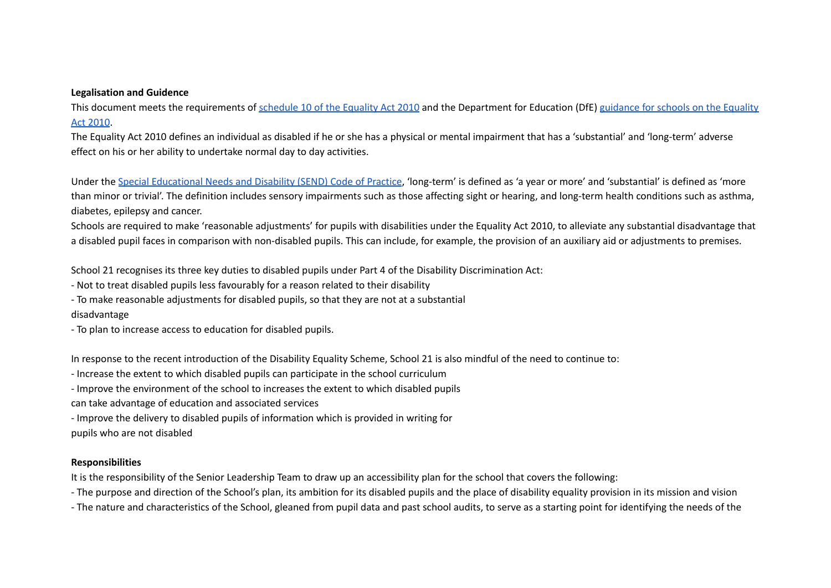#### **Legalisation and Guidence**

This document meets the requirements of [schedule](http://www.legislation.gov.uk/ukpga/2010/15/schedule/10) 10 of the Equality Act 2010 and the Department for Education (DfE) [guidance](https://www.gov.uk/government/publications/equality-act-2010-advice-for-schools) for schools on the Equality Act [2010](https://www.gov.uk/government/publications/equality-act-2010-advice-for-schools).

The Equality Act 2010 defines an individual as disabled if he or she has a physical or mental impairment that has a 'substantial' and 'long-term' adverse effect on his or her ability to undertake normal day to day activities.

Under the Special [Educational](https://www.gov.uk/government/publications/send-code-of-practice-0-to-25) Needs and Disability (SEND) Code of Practice, 'long-term' is defined as 'a year or more' and 'substantial' is defined as 'more than minor or trivial'. The definition includes sensory impairments such as those affecting sight or hearing, and long-term health conditions such as asthma, diabetes, epilepsy and cancer.

Schools are required to make 'reasonable adjustments' for pupils with disabilities under the Equality Act 2010, to alleviate any substantial disadvantage that a disabled pupil faces in comparison with non-disabled pupils. This can include, for example, the provision of an auxiliary aid or adjustments to premises.

School 21 recognises its three key duties to disabled pupils under Part 4 of the Disability Discrimination Act:

- Not to treat disabled pupils less favourably for a reason related to their disability

- To make reasonable adjustments for disabled pupils, so that they are not at a substantial

disadvantage

- To plan to increase access to education for disabled pupils.

In response to the recent introduction of the Disability Equality Scheme, School 21 is also mindful of the need to continue to:

- Increase the extent to which disabled pupils can participate in the school curriculum

- Improve the environment of the school to increases the extent to which disabled pupils

can take advantage of education and associated services

- Improve the delivery to disabled pupils of information which is provided in writing for

pupils who are not disabled

## **Responsibilities**

It is the responsibility of the Senior Leadership Team to draw up an accessibility plan for the school that covers the following:

- The purpose and direction of the School's plan, its ambition for its disabled pupils and the place of disability equality provision in its mission and vision

- The nature and characteristics of the School, gleaned from pupil data and past school audits, to serve as a starting point for identifying the needs of the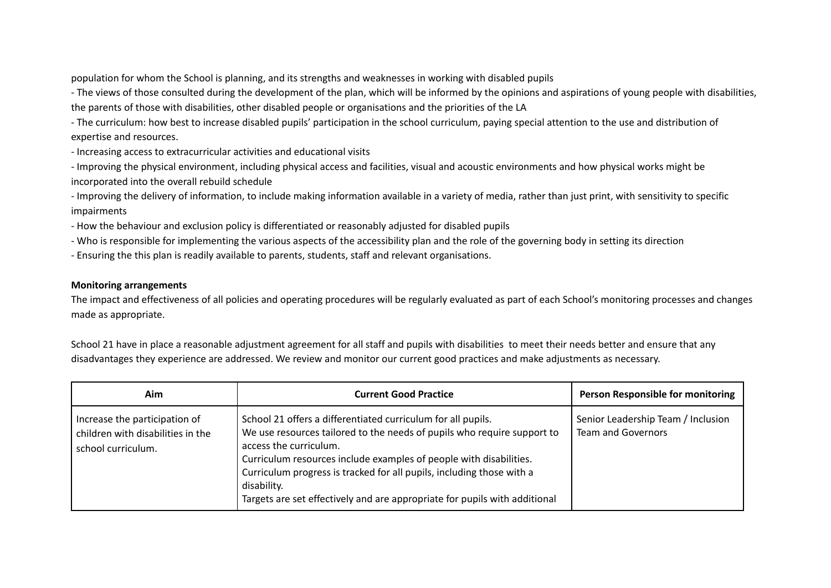population for whom the School is planning, and its strengths and weaknesses in working with disabled pupils

- The views of those consulted during the development of the plan, which will be informed by the opinions and aspirations of young people with disabilities, the parents of those with disabilities, other disabled people or organisations and the priorities of the LA

- The curriculum: how best to increase disabled pupils' participation in the school curriculum, paying special attention to the use and distribution of expertise and resources.

- Increasing access to extracurricular activities and educational visits

- Improving the physical environment, including physical access and facilities, visual and acoustic environments and how physical works might be incorporated into the overall rebuild schedule

- Improving the delivery of information, to include making information available in a variety of media, rather than just print, with sensitivity to specific impairments

- How the behaviour and exclusion policy is differentiated or reasonably adjusted for disabled pupils

- Who is responsible for implementing the various aspects of the accessibility plan and the role of the governing body in setting its direction

- Ensuring the this plan is readily available to parents, students, staff and relevant organisations.

### **Monitoring arrangements**

The impact and effectiveness of all policies and operating procedures will be regularly evaluated as part of each School's monitoring processes and changes made as appropriate.

School 21 have in place a reasonable adjustment agreement for all staff and pupils with disabilities to meet their needs better and ensure that any disadvantages they experience are addressed. We review and monitor our current good practices and make adjustments as necessary.

| Aim                                                                                      | <b>Current Good Practice</b>                                                                                                                                                                                                                                                                                                                                                                                  | Person Responsible for monitoring                               |
|------------------------------------------------------------------------------------------|---------------------------------------------------------------------------------------------------------------------------------------------------------------------------------------------------------------------------------------------------------------------------------------------------------------------------------------------------------------------------------------------------------------|-----------------------------------------------------------------|
| Increase the participation of<br>children with disabilities in the<br>school curriculum. | School 21 offers a differentiated curriculum for all pupils.<br>We use resources tailored to the needs of pupils who require support to<br>access the curriculum.<br>Curriculum resources include examples of people with disabilities.<br>Curriculum progress is tracked for all pupils, including those with a<br>disability.<br>Targets are set effectively and are appropriate for pupils with additional | Senior Leadership Team / Inclusion<br><b>Team and Governors</b> |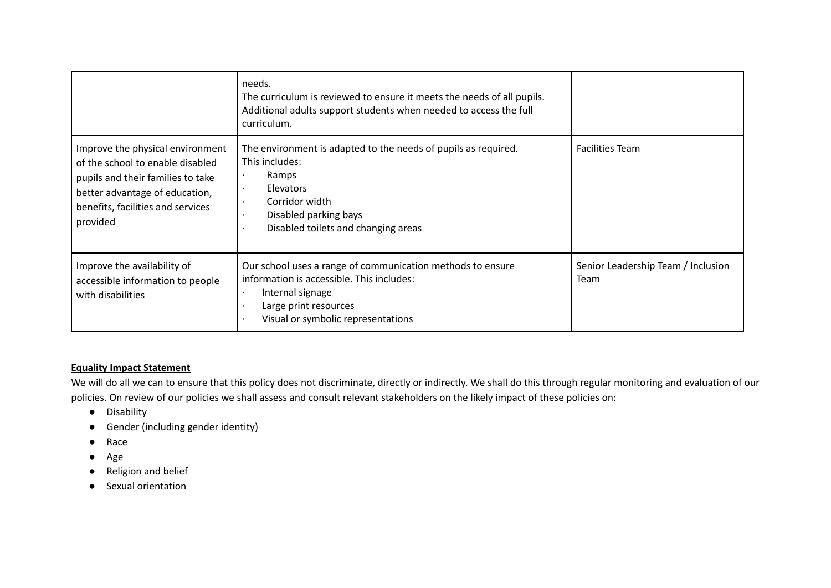|                                                                                                                                                                                              | needs.<br>The curriculum is reviewed to ensure it meets the needs of all pupils.<br>Additional adults support students when needed to access the full<br>curriculum.                       |                                            |
|----------------------------------------------------------------------------------------------------------------------------------------------------------------------------------------------|--------------------------------------------------------------------------------------------------------------------------------------------------------------------------------------------|--------------------------------------------|
| Improve the physical environment<br>of the school to enable disabled<br>pupils and their families to take<br>better advantage of education,<br>benefits, facilities and services<br>provided | The environment is adapted to the needs of pupils as required.<br>This includes:<br>Ramps<br>Elevators<br>Corridor width<br>Disabled parking bays<br>Disabled toilets and changing areas   | <b>Facilities Team</b>                     |
| Improve the availability of<br>accessible information to people<br>with disabilities                                                                                                         | Our school uses a range of communication methods to ensure<br>information is accessible. This includes:<br>Internal signage<br>Large print resources<br>Visual or symbolic representations | Senior Leadership Team / Inclusion<br>Team |

## **Equality Impact Statement**

We will do all we can to ensure that this policy does not discriminate, directly or indirectly. We shall do this through regular monitoring and evaluation of our policies. On review of our policies we shall assess and consult relevant stakeholders on the likely impact of these policies on:

- Disability
- Gender (including gender identity)
- Race
- Age
- Religion and belief
- Sexual orientation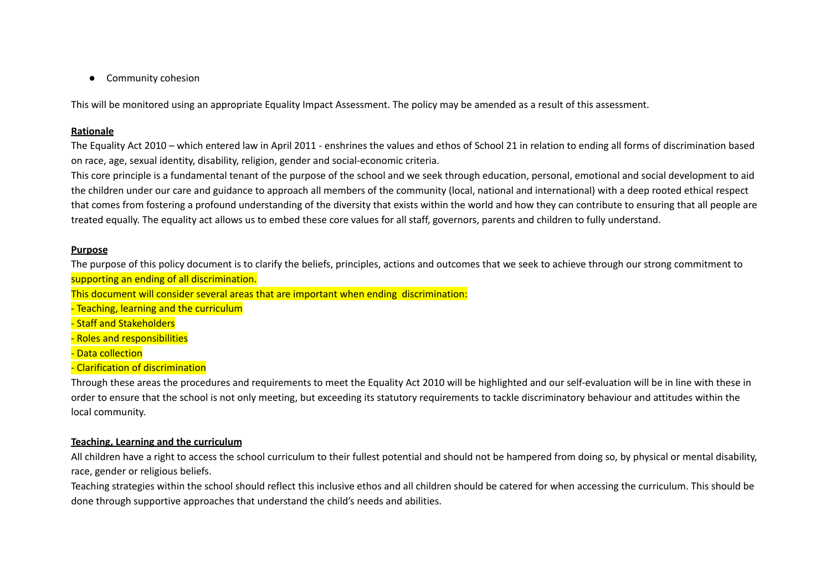● Community cohesion

This will be monitored using an appropriate Equality Impact Assessment. The policy may be amended as a result of this assessment.

### **Rationale**

The Equality Act 2010 – which entered law in April 2011 - enshrines the values and ethos of School 21 in relation to ending all forms of discrimination based on race, age, sexual identity, disability, religion, gender and social-economic criteria.

This core principle is a fundamental tenant of the purpose of the school and we seek through education, personal, emotional and social development to aid the children under our care and guidance to approach all members of the community (local, national and international) with a deep rooted ethical respect that comes from fostering a profound understanding of the diversity that exists within the world and how they can contribute to ensuring that all people are treated equally. The equality act allows us to embed these core values for all staff, governors, parents and children to fully understand.

#### **Purpose**

The purpose of this policy document is to clarify the beliefs, principles, actions and outcomes that we seek to achieve through our strong commitment to supporting an ending of all discrimination.

This document will consider several areas that are important when ending discrimination:

- Teaching, learning and the curriculum

- Staff and Stakeholders

- Roles and responsibilities

- Data collection

- Clarification of discrimination

Through these areas the procedures and requirements to meet the Equality Act 2010 will be highlighted and our self-evaluation will be in line with these in order to ensure that the school is not only meeting, but exceeding its statutory requirements to tackle discriminatory behaviour and attitudes within the local community.

### **Teaching, Learning and the curriculum**

All children have a right to access the school curriculum to their fullest potential and should not be hampered from doing so, by physical or mental disability, race, gender or religious beliefs.

Teaching strategies within the school should reflect this inclusive ethos and all children should be catered for when accessing the curriculum. This should be done through supportive approaches that understand the child's needs and abilities.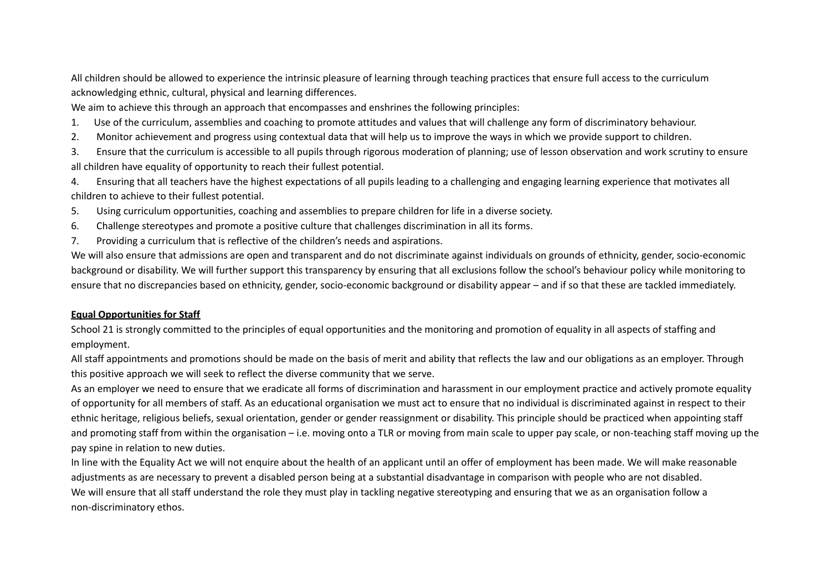All children should be allowed to experience the intrinsic pleasure of learning through teaching practices that ensure full access to the curriculum acknowledging ethnic, cultural, physical and learning differences.

We aim to achieve this through an approach that encompasses and enshrines the following principles:

- 1. Use of the curriculum, assemblies and coaching to promote attitudes and values that will challenge any form of discriminatory behaviour.
- 2. Monitor achievement and progress using contextual data that will help us to improve the ways in which we provide support to children.
- 3. Ensure that the curriculum is accessible to all pupils through rigorous moderation of planning; use of lesson observation and work scrutiny to ensure all children have equality of opportunity to reach their fullest potential.
- 4. Ensuring that all teachers have the highest expectations of all pupils leading to a challenging and engaging learning experience that motivates all children to achieve to their fullest potential.
- 5. Using curriculum opportunities, coaching and assemblies to prepare children for life in a diverse society.
- 6. Challenge stereotypes and promote a positive culture that challenges discrimination in all its forms.
- 7. Providing a curriculum that is reflective of the children's needs and aspirations.

We will also ensure that admissions are open and transparent and do not discriminate against individuals on grounds of ethnicity, gender, socio-economic background or disability. We will further support this transparency by ensuring that all exclusions follow the school's behaviour policy while monitoring to ensure that no discrepancies based on ethnicity, gender, socio-economic background or disability appear – and if so that these are tackled immediately.

## **Equal Opportunities for Staff**

School 21 is strongly committed to the principles of equal opportunities and the monitoring and promotion of equality in all aspects of staffing and employment.

All staff appointments and promotions should be made on the basis of merit and ability that reflects the law and our obligations as an employer. Through this positive approach we will seek to reflect the diverse community that we serve.

As an employer we need to ensure that we eradicate all forms of discrimination and harassment in our employment practice and actively promote equality of opportunity for all members of staff. As an educational organisation we must act to ensure that no individual is discriminated against in respect to their ethnic heritage, religious beliefs, sexual orientation, gender or gender reassignment or disability. This principle should be practiced when appointing staff and promoting staff from within the organisation – i.e. moving onto a TLR or moving from main scale to upper pay scale, or non-teaching staff moving up the pay spine in relation to new duties.

In line with the Equality Act we will not enquire about the health of an applicant until an offer of employment has been made. We will make reasonable adjustments as are necessary to prevent a disabled person being at a substantial disadvantage in comparison with people who are not disabled. We will ensure that all staff understand the role they must play in tackling negative stereotyping and ensuring that we as an organisation follow a non-discriminatory ethos.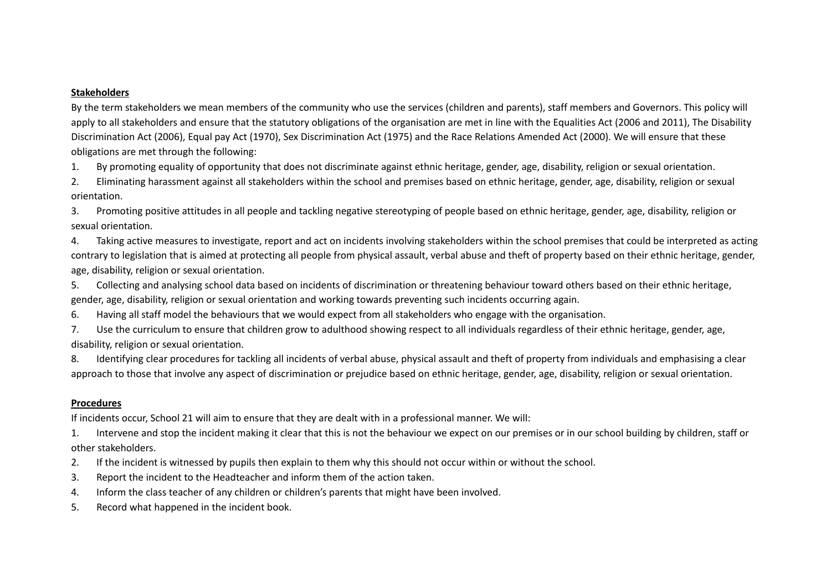### **Stakeholders**

By the term stakeholders we mean members of the community who use the services (children and parents), staff members and Governors. This policy will apply to all stakeholders and ensure that the statutory obligations of the organisation are met in line with the Equalities Act (2006 and 2011), The Disability Discrimination Act (2006), Equal pay Act (1970), Sex Discrimination Act (1975) and the Race Relations Amended Act (2000). We will ensure that these obligations are met through the following:

1. By promoting equality of opportunity that does not discriminate against ethnic heritage, gender, age, disability, religion or sexual orientation.

2. Eliminating harassment against all stakeholders within the school and premises based on ethnic heritage, gender, age, disability, religion or sexual orientation.

3. Promoting positive attitudes in all people and tackling negative stereotyping of people based on ethnic heritage, gender, age, disability, religion or sexual orientation.

4. Taking active measures to investigate, report and act on incidents involving stakeholders within the school premises that could be interpreted as acting contrary to legislation that is aimed at protecting all people from physical assault, verbal abuse and theft of property based on their ethnic heritage, gender, age, disability, religion or sexual orientation.

5. Collecting and analysing school data based on incidents of discrimination or threatening behaviour toward others based on their ethnic heritage, gender, age, disability, religion or sexual orientation and working towards preventing such incidents occurring again.

6. Having all staff model the behaviours that we would expect from all stakeholders who engage with the organisation.

7. Use the curriculum to ensure that children grow to adulthood showing respect to all individuals regardless of their ethnic heritage, gender, age, disability, religion or sexual orientation.

8. Identifying clear procedures for tackling all incidents of verbal abuse, physical assault and theft of property from individuals and emphasising a clear approach to those that involve any aspect of discrimination or prejudice based on ethnic heritage, gender, age, disability, religion or sexual orientation.

### **Procedures**

If incidents occur, School 21 will aim to ensure that they are dealt with in a professional manner. We will:

1. Intervene and stop the incident making it clear that this is not the behaviour we expect on our premises or in our school building by children, staff or other stakeholders.

- 2. If the incident is witnessed by pupils then explain to them why this should not occur within or without the school.
- 3. Report the incident to the Headteacher and inform them of the action taken.
- 4. Inform the class teacher of any children or children's parents that might have been involved.
- 5. Record what happened in the incident book.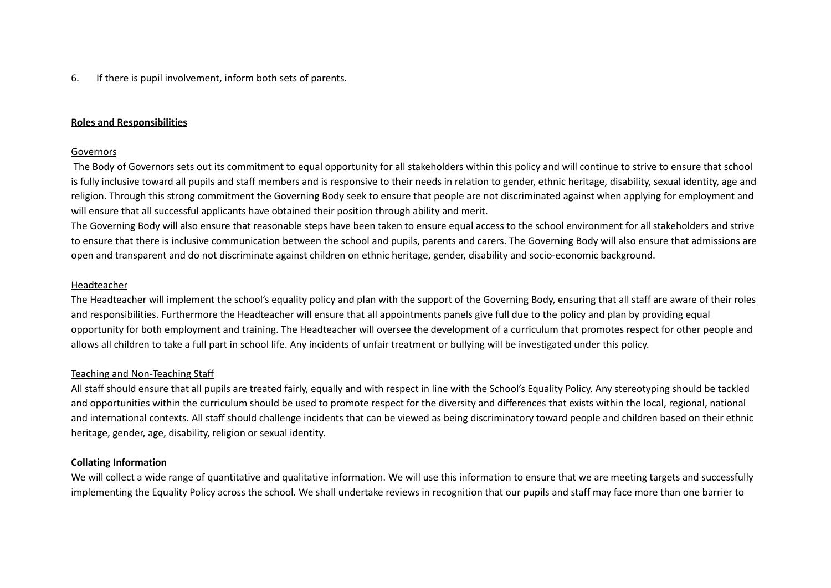### 6. If there is pupil involvement, inform both sets of parents.

#### **Roles and Responsibilities**

#### Governors

The Body of Governors sets out its commitment to equal opportunity for all stakeholders within this policy and will continue to strive to ensure that school is fully inclusive toward all pupils and staff members and is responsive to their needs in relation to gender, ethnic heritage, disability, sexual identity, age and religion. Through this strong commitment the Governing Body seek to ensure that people are not discriminated against when applying for employment and will ensure that all successful applicants have obtained their position through ability and merit.

The Governing Body will also ensure that reasonable steps have been taken to ensure equal access to the school environment for all stakeholders and strive to ensure that there is inclusive communication between the school and pupils, parents and carers. The Governing Body will also ensure that admissions are open and transparent and do not discriminate against children on ethnic heritage, gender, disability and socio-economic background.

#### **Headteacher**

The Headteacher will implement the school's equality policy and plan with the support of the Governing Body, ensuring that all staff are aware of their roles and responsibilities. Furthermore the Headteacher will ensure that all appointments panels give full due to the policy and plan by providing equal opportunity for both employment and training. The Headteacher will oversee the development of a curriculum that promotes respect for other people and allows all children to take a full part in school life. Any incidents of unfair treatment or bullying will be investigated under this policy.

#### Teaching and Non-Teaching Staff

All staff should ensure that all pupils are treated fairly, equally and with respect in line with the School's Equality Policy. Any stereotyping should be tackled and opportunities within the curriculum should be used to promote respect for the diversity and differences that exists within the local, regional, national and international contexts. All staff should challenge incidents that can be viewed as being discriminatory toward people and children based on their ethnic heritage, gender, age, disability, religion or sexual identity.

#### **Collating Information**

We will collect a wide range of quantitative and qualitative information. We will use this information to ensure that we are meeting targets and successfully implementing the Equality Policy across the school. We shall undertake reviews in recognition that our pupils and staff may face more than one barrier to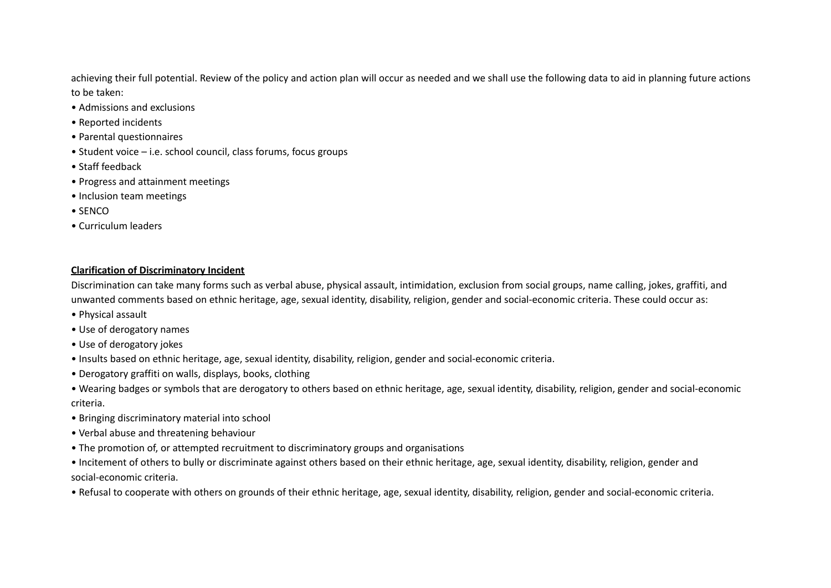achieving their full potential. Review of the policy and action plan will occur as needed and we shall use the following data to aid in planning future actions to be taken:

- Admissions and exclusions
- Reported incidents
- Parental questionnaires
- Student voice i.e. school council, class forums, focus groups
- Staff feedback
- Progress and attainment meetings
- Inclusion team meetings
- SENCO
- Curriculum leaders

# **Clarification of Discriminatory Incident**

Discrimination can take many forms such as verbal abuse, physical assault, intimidation, exclusion from social groups, name calling, jokes, graffiti, and unwanted comments based on ethnic heritage, age, sexual identity, disability, religion, gender and social-economic criteria. These could occur as:

- Physical assault
- Use of derogatory names
- Use of derogatory jokes
- Insults based on ethnic heritage, age, sexual identity, disability, religion, gender and social-economic criteria.
- Derogatory graffiti on walls, displays, books, clothing
- Wearing badges or symbols that are derogatory to others based on ethnic heritage, age, sexual identity, disability, religion, gender and social-economic criteria.
- Bringing discriminatory material into school
- Verbal abuse and threatening behaviour
- The promotion of, or attempted recruitment to discriminatory groups and organisations
- Incitement of others to bully or discriminate against others based on their ethnic heritage, age, sexual identity, disability, religion, gender and social-economic criteria.
- Refusal to cooperate with others on grounds of their ethnic heritage, age, sexual identity, disability, religion, gender and social-economic criteria.